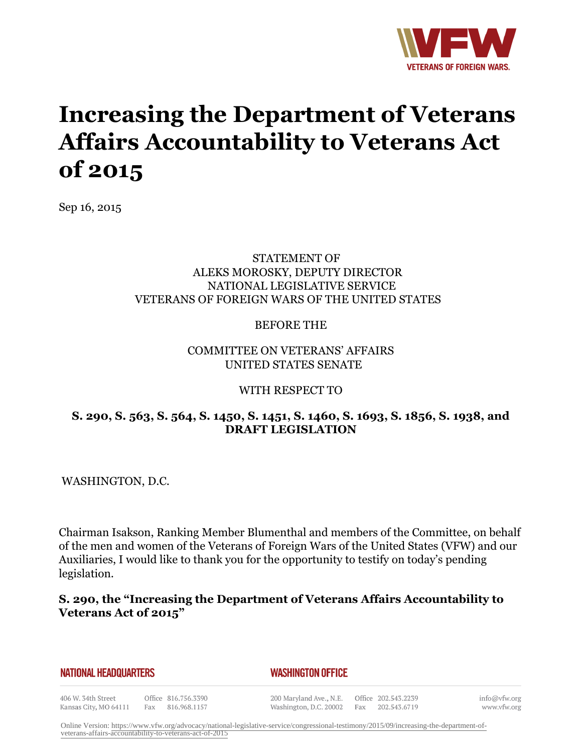

# **Increasing the Department of Veterans Affairs Accountability to Veterans Act of 2015**

Sep 16, 2015

#### STATEMENT OF ALEKS MOROSKY, DEPUTY DIRECTOR NATIONAL LEGISLATIVE SERVICE VETERANS OF FOREIGN WARS OF THE UNITED STATES

#### BEFORE THE

#### COMMITTEE ON VETERANS' AFFAIRS UNITED STATES SENATE

#### WITH RESPECT TO

#### **S. 290, S. 563, S. 564, S. 1450, S. 1451, S. 1460, S. 1693, S. 1856, S. 1938, and DRAFT LEGISLATION**

WASHINGTON, D.C.

Chairman Isakson, Ranking Member Blumenthal and members of the Committee, on behalf of the men and women of the Veterans of Foreign Wars of the United States (VFW) and our Auxiliaries, I would like to thank you for the opportunity to testify on today's pending legislation.

#### **S. 290, the "Increasing the Department of Veterans Affairs Accountability to Veterans Act of 2015"**

| NATIONAL HEADQUARTERS |  |
|-----------------------|--|
|-----------------------|--|

#### *WASHINGTON OFFICE*

406 W. 34th Street Kansas City, MO 64111

Office 816.756.3390 Fax 816.968.1157

200 Maryland Ave., N.E. Washington, D.C. 20002

Office 202.543.2239 Fax 202.543.6719 info@vfw.org www.vfw.org

Online Version: [https://www.vfw.org/advocacy/national-legislative-service/congressional-testimony/2015/09/increasing-the-department-of](https://www.vfw.org/advocacy/national-legislative-service/congressional-testimony/2015/09/increasing-the-department-of-veterans-affairs-accountability-to-veterans-act-of-2015)[veterans-affairs-accountability-to-veterans-act-of-2015](https://www.vfw.org/advocacy/national-legislative-service/congressional-testimony/2015/09/increasing-the-department-of-veterans-affairs-accountability-to-veterans-act-of-2015)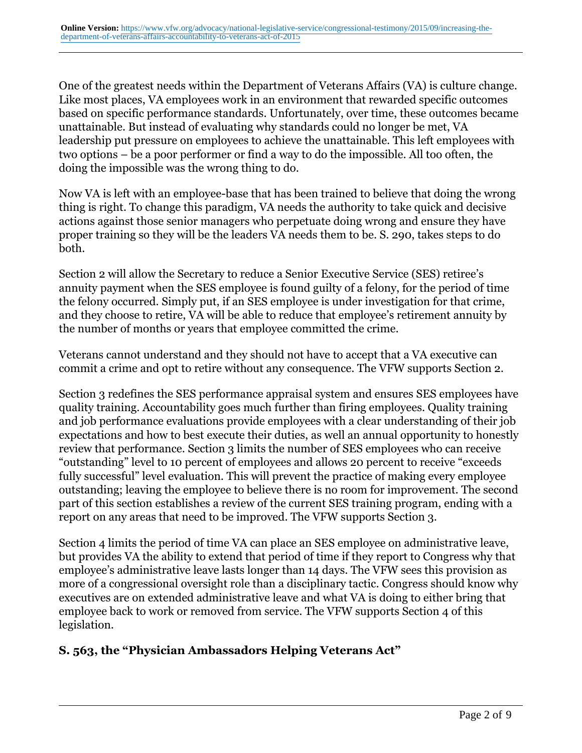One of the greatest needs within the Department of Veterans Affairs (VA) is culture change. Like most places, VA employees work in an environment that rewarded specific outcomes based on specific performance standards. Unfortunately, over time, these outcomes became unattainable. But instead of evaluating why standards could no longer be met, VA leadership put pressure on employees to achieve the unattainable. This left employees with two options – be a poor performer or find a way to do the impossible. All too often, the doing the impossible was the wrong thing to do.

Now VA is left with an employee-base that has been trained to believe that doing the wrong thing is right. To change this paradigm, VA needs the authority to take quick and decisive actions against those senior managers who perpetuate doing wrong and ensure they have proper training so they will be the leaders VA needs them to be. S. 290, takes steps to do both.

Section 2 will allow the Secretary to reduce a Senior Executive Service (SES) retiree's annuity payment when the SES employee is found guilty of a felony, for the period of time the felony occurred. Simply put, if an SES employee is under investigation for that crime, and they choose to retire, VA will be able to reduce that employee's retirement annuity by the number of months or years that employee committed the crime.

Veterans cannot understand and they should not have to accept that a VA executive can commit a crime and opt to retire without any consequence. The VFW supports Section 2.

Section 3 redefines the SES performance appraisal system and ensures SES employees have quality training. Accountability goes much further than firing employees. Quality training and job performance evaluations provide employees with a clear understanding of their job expectations and how to best execute their duties, as well an annual opportunity to honestly review that performance. Section 3 limits the number of SES employees who can receive "outstanding" level to 10 percent of employees and allows 20 percent to receive "exceeds fully successful" level evaluation. This will prevent the practice of making every employee outstanding; leaving the employee to believe there is no room for improvement. The second part of this section establishes a review of the current SES training program, ending with a report on any areas that need to be improved. The VFW supports Section 3.

Section 4 limits the period of time VA can place an SES employee on administrative leave, but provides VA the ability to extend that period of time if they report to Congress why that employee's administrative leave lasts longer than 14 days. The VFW sees this provision as more of a congressional oversight role than a disciplinary tactic. Congress should know why executives are on extended administrative leave and what VA is doing to either bring that employee back to work or removed from service. The VFW supports Section 4 of this legislation.

## **S. 563, the "Physician Ambassadors Helping Veterans Act"**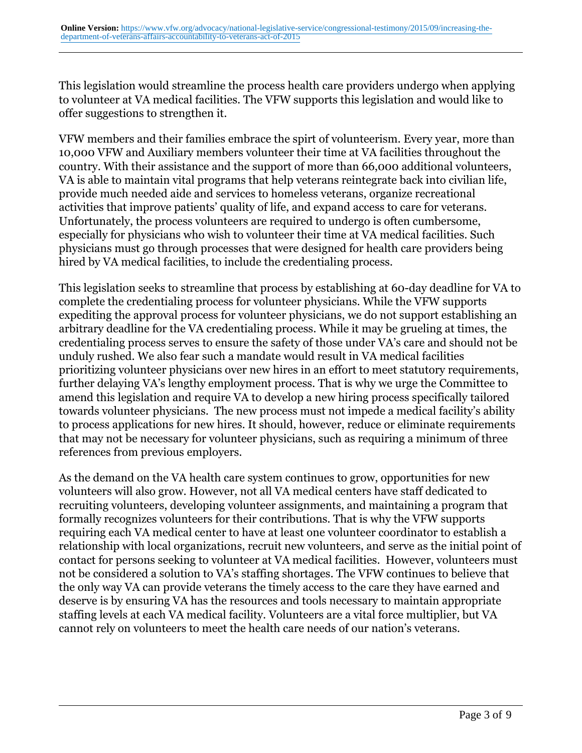This legislation would streamline the process health care providers undergo when applying to volunteer at VA medical facilities. The VFW supports this legislation and would like to offer suggestions to strengthen it.

VFW members and their families embrace the spirt of volunteerism. Every year, more than 10,000 VFW and Auxiliary members volunteer their time at VA facilities throughout the country. With their assistance and the support of more than 66,000 additional volunteers, VA is able to maintain vital programs that help veterans reintegrate back into civilian life, provide much needed aide and services to homeless veterans, organize recreational activities that improve patients' quality of life, and expand access to care for veterans. Unfortunately, the process volunteers are required to undergo is often cumbersome, especially for physicians who wish to volunteer their time at VA medical facilities. Such physicians must go through processes that were designed for health care providers being hired by VA medical facilities, to include the credentialing process.

This legislation seeks to streamline that process by establishing at 60-day deadline for VA to complete the credentialing process for volunteer physicians. While the VFW supports expediting the approval process for volunteer physicians, we do not support establishing an arbitrary deadline for the VA credentialing process. While it may be grueling at times, the credentialing process serves to ensure the safety of those under VA's care and should not be unduly rushed. We also fear such a mandate would result in VA medical facilities prioritizing volunteer physicians over new hires in an effort to meet statutory requirements, further delaying VA's lengthy employment process. That is why we urge the Committee to amend this legislation and require VA to develop a new hiring process specifically tailored towards volunteer physicians. The new process must not impede a medical facility's ability to process applications for new hires. It should, however, reduce or eliminate requirements that may not be necessary for volunteer physicians, such as requiring a minimum of three references from previous employers.

As the demand on the VA health care system continues to grow, opportunities for new volunteers will also grow. However, not all VA medical centers have staff dedicated to recruiting volunteers, developing volunteer assignments, and maintaining a program that formally recognizes volunteers for their contributions. That is why the VFW supports requiring each VA medical center to have at least one volunteer coordinator to establish a relationship with local organizations, recruit new volunteers, and serve as the initial point of contact for persons seeking to volunteer at VA medical facilities. However, volunteers must not be considered a solution to VA's staffing shortages. The VFW continues to believe that the only way VA can provide veterans the timely access to the care they have earned and deserve is by ensuring VA has the resources and tools necessary to maintain appropriate staffing levels at each VA medical facility. Volunteers are a vital force multiplier, but VA cannot rely on volunteers to meet the health care needs of our nation's veterans.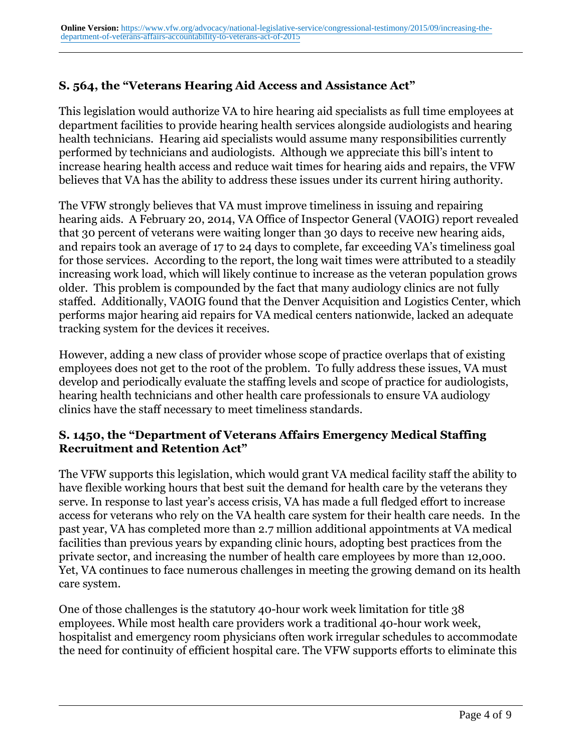# **S. 564, the "Veterans Hearing Aid Access and Assistance Act"**

This legislation would authorize VA to hire hearing aid specialists as full time employees at department facilities to provide hearing health services alongside audiologists and hearing health technicians. Hearing aid specialists would assume many responsibilities currently performed by technicians and audiologists. Although we appreciate this bill's intent to increase hearing health access and reduce wait times for hearing aids and repairs, the VFW believes that VA has the ability to address these issues under its current hiring authority.

The VFW strongly believes that VA must improve timeliness in issuing and repairing hearing aids. A February 20, 2014, VA Office of Inspector General (VAOIG) report revealed that 30 percent of veterans were waiting longer than 30 days to receive new hearing aids, and repairs took an average of 17 to 24 days to complete, far exceeding VA's timeliness goal for those services. According to the report, the long wait times were attributed to a steadily increasing work load, which will likely continue to increase as the veteran population grows older. This problem is compounded by the fact that many audiology clinics are not fully staffed. Additionally, VAOIG found that the Denver Acquisition and Logistics Center, which performs major hearing aid repairs for VA medical centers nationwide, lacked an adequate tracking system for the devices it receives.

However, adding a new class of provider whose scope of practice overlaps that of existing employees does not get to the root of the problem. To fully address these issues, VA must develop and periodically evaluate the staffing levels and scope of practice for audiologists, hearing health technicians and other health care professionals to ensure VA audiology clinics have the staff necessary to meet timeliness standards.

## **S. 1450, the "Department of Veterans Affairs Emergency Medical Staffing Recruitment and Retention Act"**

The VFW supports this legislation, which would grant VA medical facility staff the ability to have flexible working hours that best suit the demand for health care by the veterans they serve. In response to last year's access crisis, VA has made a full fledged effort to increase access for veterans who rely on the VA health care system for their health care needs. In the past year, VA has completed more than 2.7 million additional appointments at VA medical facilities than previous years by expanding clinic hours, adopting best practices from the private sector, and increasing the number of health care employees by more than 12,000. Yet, VA continues to face numerous challenges in meeting the growing demand on its health care system.

One of those challenges is the statutory 40-hour work week limitation for title 38 employees. While most health care providers work a traditional 40-hour work week, hospitalist and emergency room physicians often work irregular schedules to accommodate the need for continuity of efficient hospital care. The VFW supports efforts to eliminate this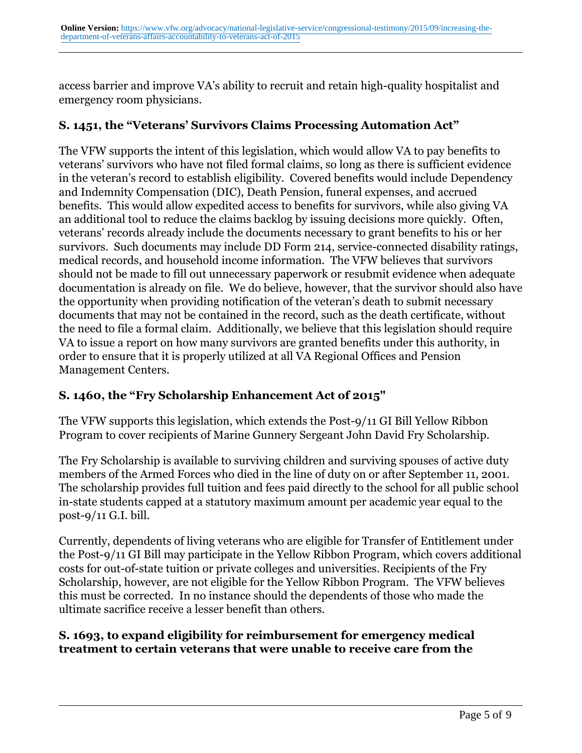access barrier and improve VA's ability to recruit and retain high-quality hospitalist and emergency room physicians.

# **S. 1451, the "Veterans' Survivors Claims Processing Automation Act"**

The VFW supports the intent of this legislation, which would allow VA to pay benefits to veterans' survivors who have not filed formal claims, so long as there is sufficient evidence in the veteran's record to establish eligibility. Covered benefits would include Dependency and Indemnity Compensation (DIC), Death Pension, funeral expenses, and accrued benefits. This would allow expedited access to benefits for survivors, while also giving VA an additional tool to reduce the claims backlog by issuing decisions more quickly. Often, veterans' records already include the documents necessary to grant benefits to his or her survivors. Such documents may include DD Form 214, service-connected disability ratings, medical records, and household income information. The VFW believes that survivors should not be made to fill out unnecessary paperwork or resubmit evidence when adequate documentation is already on file. We do believe, however, that the survivor should also have the opportunity when providing notification of the veteran's death to submit necessary documents that may not be contained in the record, such as the death certificate, without the need to file a formal claim. Additionally, we believe that this legislation should require VA to issue a report on how many survivors are granted benefits under this authority, in order to ensure that it is properly utilized at all VA Regional Offices and Pension Management Centers.

# **S. 1460, the "Fry Scholarship Enhancement Act of 2015"**

The VFW supports this legislation, which extends the Post-9/11 GI Bill Yellow Ribbon Program to cover recipients of Marine Gunnery Sergeant John David Fry Scholarship.

The Fry Scholarship is available to surviving children and surviving spouses of active duty members of the Armed Forces who died in the line of duty on or after September 11, 2001. The scholarship provides full tuition and fees paid directly to the school for all public school in-state students capped at a statutory maximum amount per academic year equal to the post-9/11 G.I. bill.

Currently, dependents of living veterans who are eligible for Transfer of Entitlement under the Post-9/11 GI Bill may participate in the Yellow Ribbon Program, which covers additional costs for out-of-state tuition or private colleges and universities. Recipients of the Fry Scholarship, however, are not eligible for the Yellow Ribbon Program. The VFW believes this must be corrected. In no instance should the dependents of those who made the ultimate sacrifice receive a lesser benefit than others.

## **S. 1693, to expand eligibility for reimbursement for emergency medical treatment to certain veterans that were unable to receive care from the**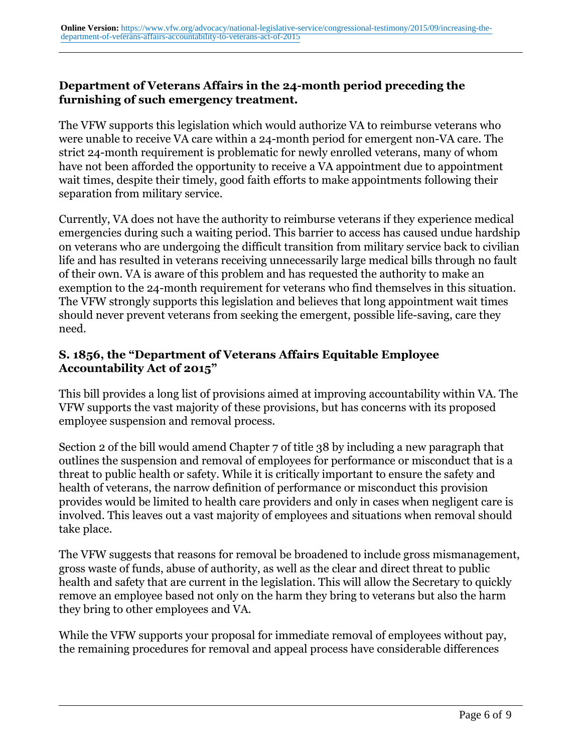#### **Department of Veterans Affairs in the 24-month period preceding the furnishing of such emergency treatment.**

The VFW supports this legislation which would authorize VA to reimburse veterans who were unable to receive VA care within a 24-month period for emergent non-VA care. The strict 24-month requirement is problematic for newly enrolled veterans, many of whom have not been afforded the opportunity to receive a VA appointment due to appointment wait times, despite their timely, good faith efforts to make appointments following their separation from military service.

Currently, VA does not have the authority to reimburse veterans if they experience medical emergencies during such a waiting period. This barrier to access has caused undue hardship on veterans who are undergoing the difficult transition from military service back to civilian life and has resulted in veterans receiving unnecessarily large medical bills through no fault of their own. VA is aware of this problem and has requested the authority to make an exemption to the 24-month requirement for veterans who find themselves in this situation. The VFW strongly supports this legislation and believes that long appointment wait times should never prevent veterans from seeking the emergent, possible life-saving, care they need.

## **S. 1856, the "Department of Veterans Affairs Equitable Employee Accountability Act of 2015"**

This bill provides a long list of provisions aimed at improving accountability within VA. The VFW supports the vast majority of these provisions, but has concerns with its proposed employee suspension and removal process.

Section 2 of the bill would amend Chapter 7 of title 38 by including a new paragraph that outlines the suspension and removal of employees for performance or misconduct that is a threat to public health or safety. While it is critically important to ensure the safety and health of veterans, the narrow definition of performance or misconduct this provision provides would be limited to health care providers and only in cases when negligent care is involved. This leaves out a vast majority of employees and situations when removal should take place.

The VFW suggests that reasons for removal be broadened to include gross mismanagement, gross waste of funds, abuse of authority, as well as the clear and direct threat to public health and safety that are current in the legislation. This will allow the Secretary to quickly remove an employee based not only on the harm they bring to veterans but also the harm they bring to other employees and VA.

While the VFW supports your proposal for immediate removal of employees without pay, the remaining procedures for removal and appeal process have considerable differences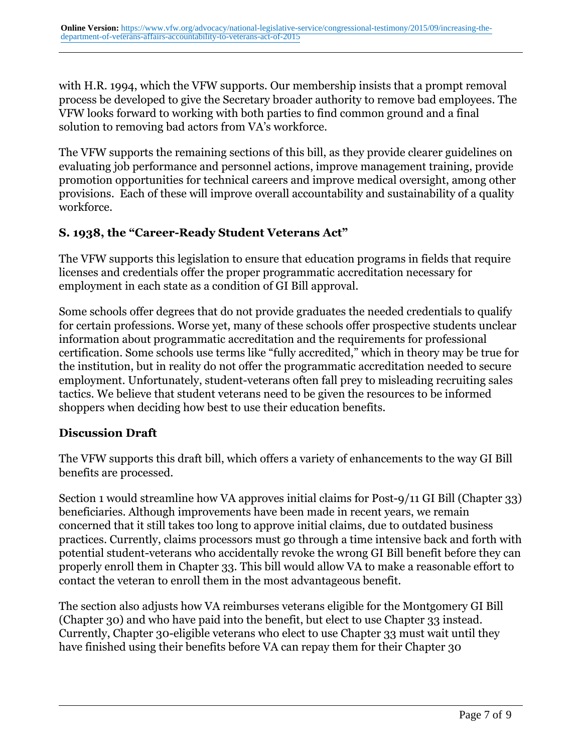with H.R. 1994, which the VFW supports. Our membership insists that a prompt removal process be developed to give the Secretary broader authority to remove bad employees. The VFW looks forward to working with both parties to find common ground and a final solution to removing bad actors from VA's workforce.

The VFW supports the remaining sections of this bill, as they provide clearer guidelines on evaluating job performance and personnel actions, improve management training, provide promotion opportunities for technical careers and improve medical oversight, among other provisions. Each of these will improve overall accountability and sustainability of a quality workforce.

# **S. 1938, the "Career-Ready Student Veterans Act"**

The VFW supports this legislation to ensure that education programs in fields that require licenses and credentials offer the proper programmatic accreditation necessary for employment in each state as a condition of GI Bill approval.

Some schools offer degrees that do not provide graduates the needed credentials to qualify for certain professions. Worse yet, many of these schools offer prospective students unclear information about programmatic accreditation and the requirements for professional certification. Some schools use terms like "fully accredited," which in theory may be true for the institution, but in reality do not offer the programmatic accreditation needed to secure employment. Unfortunately, student-veterans often fall prey to misleading recruiting sales tactics. We believe that student veterans need to be given the resources to be informed shoppers when deciding how best to use their education benefits.

## **Discussion Draft**

The VFW supports this draft bill, which offers a variety of enhancements to the way GI Bill benefits are processed.

Section 1 would streamline how VA approves initial claims for Post-9/11 GI Bill (Chapter 33) beneficiaries. Although improvements have been made in recent years, we remain concerned that it still takes too long to approve initial claims, due to outdated business practices. Currently, claims processors must go through a time intensive back and forth with potential student-veterans who accidentally revoke the wrong GI Bill benefit before they can properly enroll them in Chapter 33. This bill would allow VA to make a reasonable effort to contact the veteran to enroll them in the most advantageous benefit.

The section also adjusts how VA reimburses veterans eligible for the Montgomery GI Bill (Chapter 30) and who have paid into the benefit, but elect to use Chapter 33 instead. Currently, Chapter 30-eligible veterans who elect to use Chapter 33 must wait until they have finished using their benefits before VA can repay them for their Chapter 30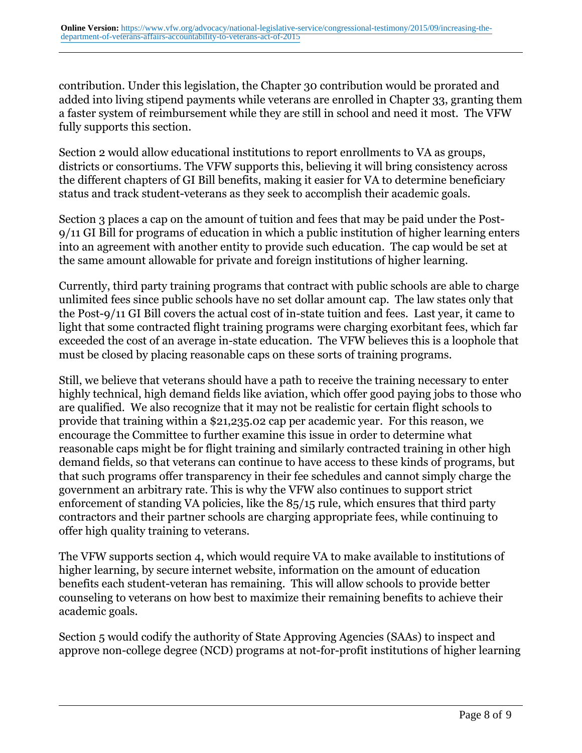contribution. Under this legislation, the Chapter 30 contribution would be prorated and added into living stipend payments while veterans are enrolled in Chapter 33, granting them a faster system of reimbursement while they are still in school and need it most. The VFW fully supports this section.

Section 2 would allow educational institutions to report enrollments to VA as groups, districts or consortiums. The VFW supports this, believing it will bring consistency across the different chapters of GI Bill benefits, making it easier for VA to determine beneficiary status and track student-veterans as they seek to accomplish their academic goals.

Section 3 places a cap on the amount of tuition and fees that may be paid under the Post-9/11 GI Bill for programs of education in which a public institution of higher learning enters into an agreement with another entity to provide such education. The cap would be set at the same amount allowable for private and foreign institutions of higher learning.

Currently, third party training programs that contract with public schools are able to charge unlimited fees since public schools have no set dollar amount cap. The law states only that the Post-9/11 GI Bill covers the actual cost of in-state tuition and fees. Last year, it came to light that some contracted flight training programs were charging exorbitant fees, which far exceeded the cost of an average in-state education. The VFW believes this is a loophole that must be closed by placing reasonable caps on these sorts of training programs.

Still, we believe that veterans should have a path to receive the training necessary to enter highly technical, high demand fields like aviation, which offer good paying jobs to those who are qualified. We also recognize that it may not be realistic for certain flight schools to provide that training within a \$21,235.02 cap per academic year. For this reason, we encourage the Committee to further examine this issue in order to determine what reasonable caps might be for flight training and similarly contracted training in other high demand fields, so that veterans can continue to have access to these kinds of programs, but that such programs offer transparency in their fee schedules and cannot simply charge the government an arbitrary rate. This is why the VFW also continues to support strict enforcement of standing VA policies, like the 85/15 rule, which ensures that third party contractors and their partner schools are charging appropriate fees, while continuing to offer high quality training to veterans.

The VFW supports section 4, which would require VA to make available to institutions of higher learning, by secure internet website, information on the amount of education benefits each student-veteran has remaining. This will allow schools to provide better counseling to veterans on how best to maximize their remaining benefits to achieve their academic goals.

Section 5 would codify the authority of State Approving Agencies (SAAs) to inspect and approve non-college degree (NCD) programs at not-for-profit institutions of higher learning